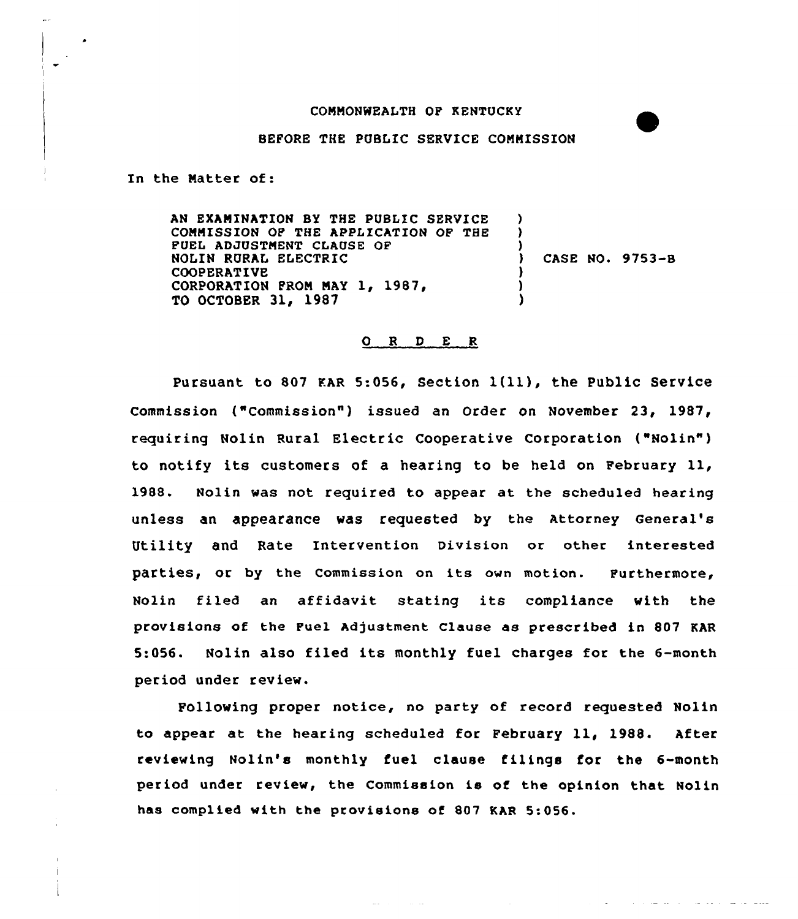## COMMONWEALTH OF KENTUCKY

## BEFORE THE PUBLIC SERVICE COMMISSION

In the Matter of:

AN EXAMINATION BY THE PUBLIC SERVICE COMMISSION OF THE APPLICATION OF THE FUEL ADJUSTMENT CLAUSE OF NOLIN RURAt ELECTRIC COOPERATIVE CORPORATION FROM MAY 1, 1987, TO OCTOBER 31, 1987 ) ) ) ) CASE NO. 9753-8 ) ) )

## 0 <sup>R</sup> <sup>D</sup> E <sup>R</sup>

Pursuant to <sup>807</sup> KAR 5:056, section 1(ll), the Public service Commission ("Commission") issued an Order on November 23, 1987, requiring Nolin Rural Electric Cooperative Corporation ("Nolin") to notify its customers of <sup>a</sup> hearing to be held on February ll, 1988. Nolin was not required to appear at the scheduled hearing unless an appearance was requested by the Attorney General' utility and Rate Intervention Division or other interested parties, or by the Commission on its own motion. Furthermore, Nolin filed an affidavit stating its compliance with the provisions of the Fuel Adjustment Clause as prescribed in 807 KAR 5:056. Nolin also filed its monthly fuel charges for the 6-month period under review.

Following proper notice, no party of record requested Nolin to appear at the hearing scheduled for February ll, 1988. After reviewing Nolin's monthly fuel clause filings for the 6-month period under review, the Commission is of the opinion that Nolin has complied with the provisions of 807 KAR 5:056.

فتتحدث والمساري والتواصل المراجع والمراجع والمراج